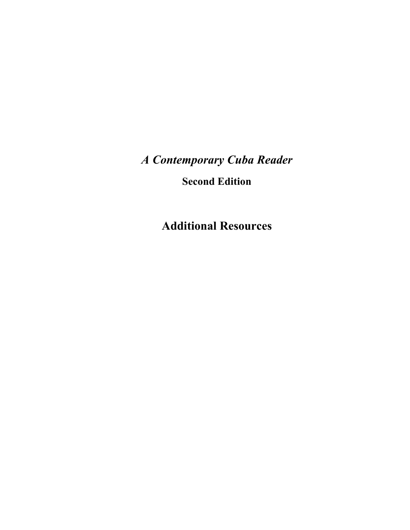*A Contemporary Cuba Reader* 

**Second Edition** 

**Additional Resources**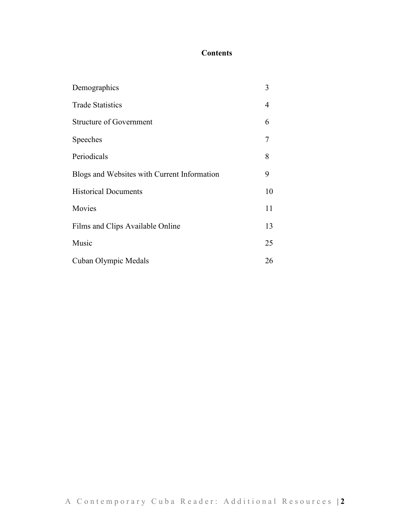## **Contents**

| Demographics                                | 3              |
|---------------------------------------------|----------------|
| <b>Trade Statistics</b>                     | $\overline{4}$ |
| <b>Structure of Government</b>              | 6              |
| Speeches                                    | 7              |
| Periodicals                                 | 8              |
| Blogs and Websites with Current Information | 9              |
| <b>Historical Documents</b>                 | 10             |
| Movies                                      | 11             |
| Films and Clips Available Online            | 13             |
| Music                                       | 25             |
| Cuban Olympic Medals                        | 26             |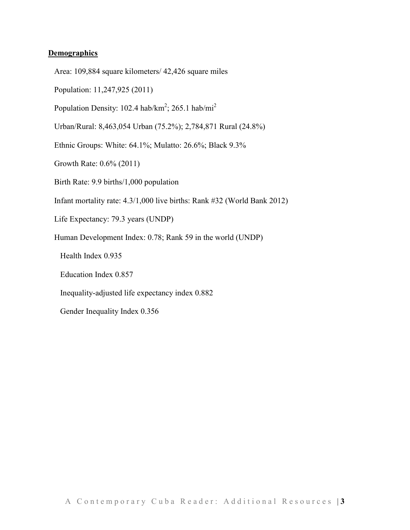#### **Demographics**

- Area: 109,884 square kilometers/ 42,426 square miles
- Population: 11,247,925 (2011)
- Population Density: 102.4 hab/ $km^2$ ; 265.1 hab/mi<sup>2</sup>
- Urban/Rural: 8,463,054 Urban (75.2%); 2,784,871 Rural (24.8%)
- Ethnic Groups: White: 64.1%; Mulatto: 26.6%; Black 9.3%
- Growth Rate: 0.6% (2011)
- Birth Rate: 9.9 births/1,000 population
- Infant mortality rate: 4.3/1,000 live births: Rank #32 (World Bank 2012)
- Life Expectancy: 79.3 years (UNDP)
- Human Development Index: 0.78; Rank 59 in the world (UNDP)
	- Health Index 0.935
	- Education Index 0.857
	- Inequality-adjusted life expectancy index 0.882
	- Gender Inequality Index 0.356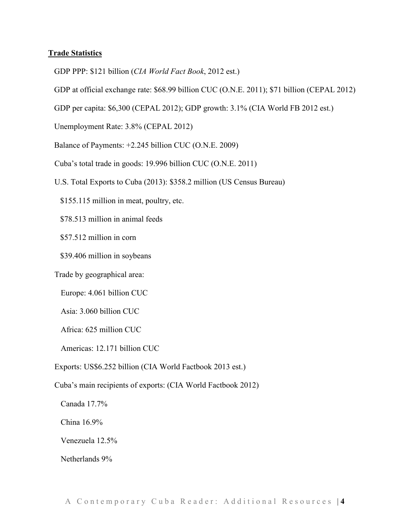#### **Trade Statistics**

- GDP PPP: \$121 billion (*CIA World Fact Book*, 2012 est.)
- GDP at official exchange rate: \$68.99 billion CUC (O.N.E. 2011); \$71 billion (CEPAL 2012)
- GDP per capita: \$6,300 (CEPAL 2012); GDP growth: 3.1% (CIA World FB 2012 est.)
- Unemployment Rate: 3.8% (CEPAL 2012)
- Balance of Payments: +2.245 billion CUC (O.N.E. 2009)
- Cuba's total trade in goods: 19.996 billion CUC (O.N.E. 2011)
- U.S. Total Exports to Cuba (2013): \$358.2 million (US Census Bureau)
	- \$155.115 million in meat, poultry, etc.
	- \$78.513 million in animal feeds
	- \$57.512 million in corn
	- \$39.406 million in soybeans
- Trade by geographical area:
	- Europe: 4.061 billion CUC
	- Asia: 3.060 billion CUC
	- Africa: 625 million CUC
	- Americas: 12.171 billion CUC
- Exports: US\$6.252 billion (CIA World Factbook 2013 est.)
- Cuba's main recipients of exports: (CIA World Factbook 2012)
	- Canada 17.7%
	- China 16.9%
	- Venezuela 12.5%
	- Netherlands 9%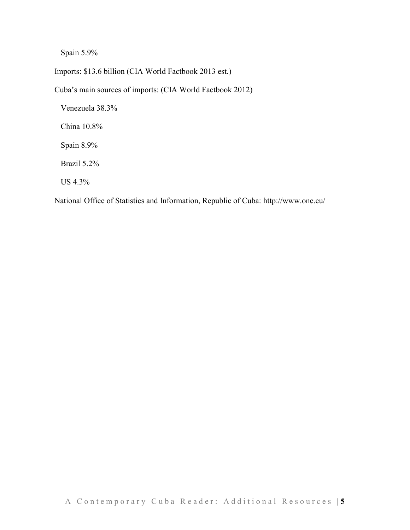Spain 5.9%

Imports: \$13.6 billion (CIA World Factbook 2013 est.)

Cuba's main sources of imports: (CIA World Factbook 2012)

Venezuela 38.3%

China 10.8%

Spain 8.9%

Brazil 5.2%

US 4.3%

National Office of Statistics and Information, Republic of Cuba: http://www.one.cu/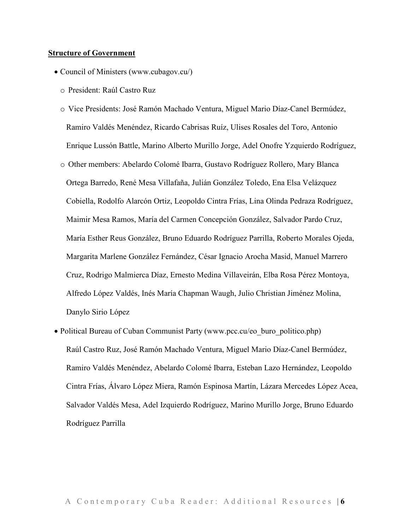#### **Structure of Government**

- Council of Ministers (www.cubagov.cu/)
	- o President: Raúl Castro Ruz
	- o Vice Presidents: José Ramón Machado Ventura, Miguel Mario Díaz-Canel Bermúdez, Ramiro Valdés Menéndez, Ricardo Cabrisas Ruíz, Ulises Rosales del Toro, Antonio Enrique Lussón Battle, Marino Alberto Murillo Jorge, Adel Onofre Yzquierdo Rodríguez,
	- o Other members: Abelardo Colomé Ibarra, Gustavo Rodríguez Rollero, Mary Blanca Ortega Barredo, René Mesa Villafaña, Julián González Toledo, Ena Elsa Velázquez Cobiella, Rodolfo Alarcón Ortiz, Leopoldo Cintra Frías, Lina Olinda Pedraza Rodríguez, Maimir Mesa Ramos, María del Carmen Concepción González, Salvador Pardo Cruz, María Esther Reus González, Bruno Eduardo Rodríguez Parrilla, Roberto Morales Ojeda, Margarita Marlene González Fernández, César Ignacio Arocha Masid, Manuel Marrero Cruz, Rodrigo Malmierca Díaz, Ernesto Medina Villaveirán, Elba Rosa Pérez Montoya, Alfredo López Valdés, Inés María Chapman Waugh, Julio Christian Jiménez Molina, Danylo Sirio López
- Political Bureau of Cuban Communist Party (www.pcc.cu/eo\_buro\_politico.php) Raúl Castro Ruz, José Ramón Machado Ventura, Miguel Mario Díaz-Canel Bermúdez, Ramiro Valdés Menéndez, Abelardo Colomé Ibarra, Esteban Lazo Hernández, Leopoldo Cintra Frías, Álvaro López Miera, Ramón Espinosa Martín, Lázara Mercedes López Acea, Salvador Valdés Mesa, Adel Izquierdo Rodríguez, Marino Murillo Jorge, Bruno Eduardo Rodríguez Parrilla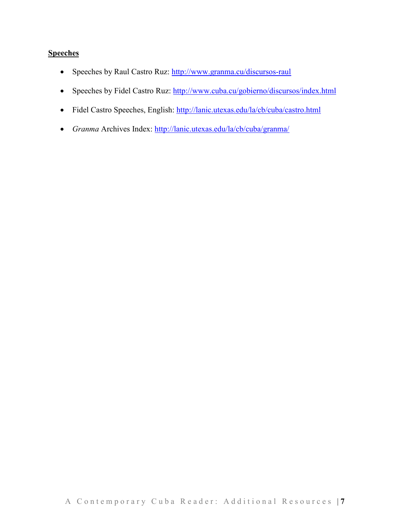### **Speeches**

- Speeches by Raul Castro Ruz: http://www.granma.cu/discursos-raul
- Speeches by Fidel Castro Ruz: http://www.cuba.cu/gobierno/discursos/index.html
- Fidel Castro Speeches, English: http://lanic.utexas.edu/la/cb/cuba/castro.html
- *Granma* Archives Index: http://lanic.utexas.edu/la/cb/cuba/granma/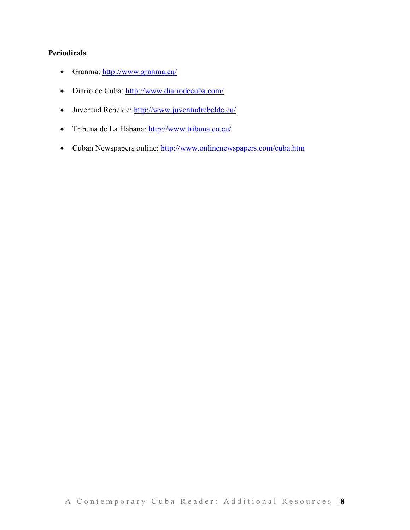### **Periodicals**

- Granma: http://www.granma.cu/
- Diario de Cuba: http://www.diariodecuba.com/
- Juventud Rebelde: http://www.juventudrebelde.cu/
- Tribuna de La Habana: http://www.tribuna.co.cu/
- Cuban Newspapers online: http://www.onlinenewspapers.com/cuba.htm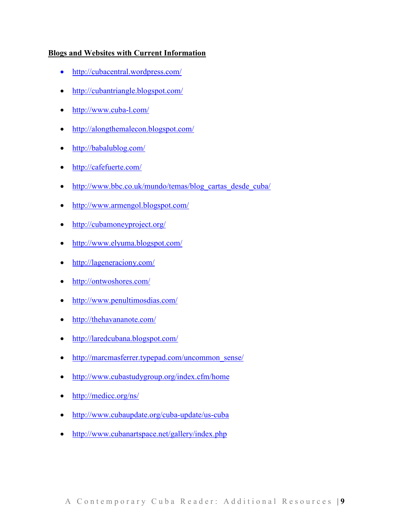#### **Blogs and Websites with Current Information**

- http://cubacentral.wordpress.com/
- http://cubantriangle.blogspot.com/
- http://www.cuba-l.com/
- http://alongthemalecon.blogspot.com/
- http://babalublog.com/
- http://cafefuerte.com/
- http://www.bbc.co.uk/mundo/temas/blog\_cartas\_desde\_cuba/
- http://www.armengol.blogspot.com/
- http://cubamoneyproject.org/
- http://www.elyuma.blogspot.com/
- http://lageneraciony.com/
- http://ontwoshores.com/
- http://www.penultimosdias.com/
- http://thehavananote.com/
- http://laredcubana.blogspot.com/
- http://marcmasferrer.typepad.com/uncommon\_sense/
- http://www.cubastudygroup.org/index.cfm/home
- http://medicc.org/ns/
- http://www.cubaupdate.org/cuba-update/us-cuba
- http://www.cubanartspace.net/gallery/index.php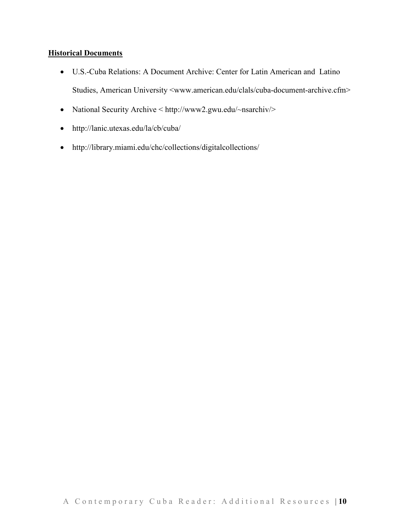#### **Historical Documents**

- U.S.-Cuba Relations: A Document Archive: Center for Latin American and Latino Studies, American University <www.american.edu/clals/cuba-document-archive.cfm>
- National Security Archive < http://www2.gwu.edu/~nsarchiv/>
- http://lanic.utexas.edu/la/cb/cuba/
- http://library.miami.edu/chc/collections/digitalcollections/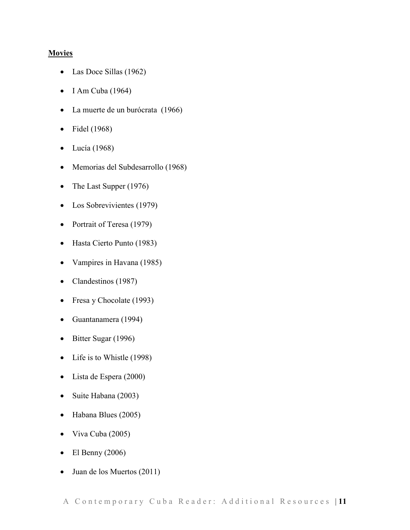#### **Movies**

- Las Doce Sillas (1962)
- $\bullet$  I Am Cuba (1964)
- La muerte de un burócrata (1966)
- Fidel (1968)
- $\bullet$  Lucía (1968)
- Memorias del Subdesarrollo (1968)
- The Last Supper (1976)
- Los Sobrevivientes (1979)
- Portrait of Teresa (1979)
- Hasta Cierto Punto (1983)
- Vampires in Havana (1985)
- Clandestinos (1987)
- Fresa y Chocolate (1993)
- Guantanamera (1994)
- Bitter Sugar (1996)
- Life is to Whistle (1998)
- Lista de Espera (2000)
- Suite Habana (2003)
- Habana Blues (2005)
- Viva Cuba (2005)
- $\bullet$  El Benny (2006)
- Juan de los Muertos (2011)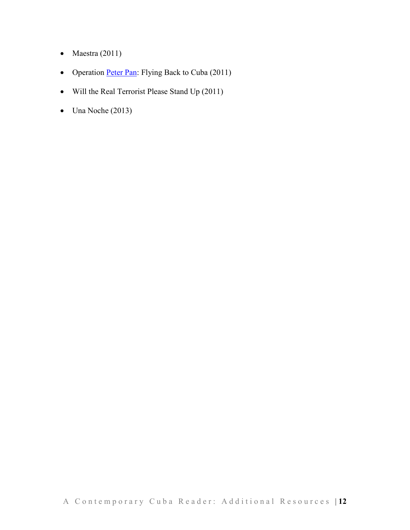- Maestra  $(2011)$
- Operation Peter Pan: Flying Back to Cuba (2011)
- Will the Real Terrorist Please Stand Up (2011)
- $\bullet$  Una Noche (2013)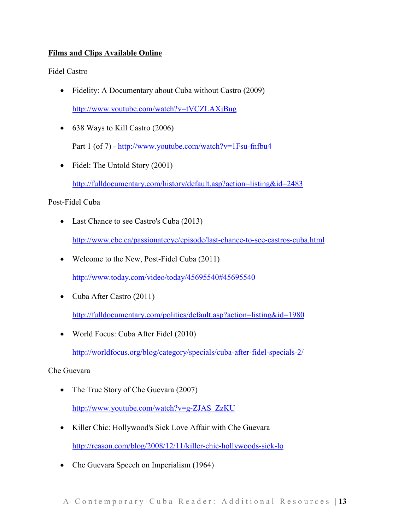### **Films and Clips Available Online**

Fidel Castro

• Fidelity: A Documentary about Cuba without Castro (2009)

http://www.youtube.com/watch?v=tVCZLAXjBug

- 638 Ways to Kill Castro (2006) Part 1 (of 7) - http://www.youtube.com/watch?v=1Fsu-fnfbu4
- Fidel: The Untold Story (2001) http://fulldocumentary.com/history/default.asp?action=listing&id=2483

#### Post-Fidel Cuba

- Last Chance to see Castro's Cuba (2013) http://www.cbc.ca/passionateeye/episode/last-chance-to-see-castros-cuba.html
- Welcome to the New, Post-Fidel Cuba (2011)

http://www.today.com/video/today/45695540#45695540

• Cuba After Castro (2011)

http://fulldocumentary.com/politics/default.asp?action=listing&id=1980

• World Focus: Cuba After Fidel (2010)

http://worldfocus.org/blog/category/specials/cuba-after-fidel-specials-2/

#### Che Guevara

- The True Story of Che Guevara (2007) http://www.youtube.com/watch?v=g-ZJAS\_ZzKU
- Killer Chic: Hollywood's Sick Love Affair with Che Guevara http://reason.com/blog/2008/12/11/killer-chic-hollywoods-sick-lo
- Che Guevara Speech on Imperialism (1964)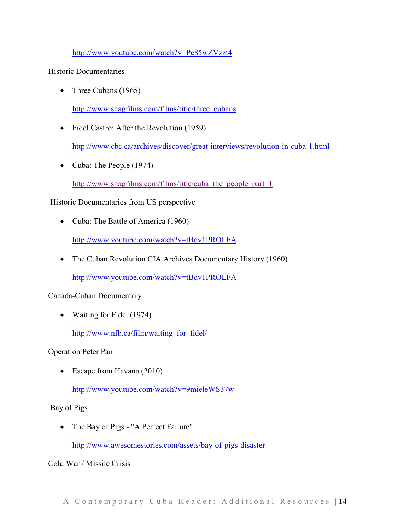http://www.youtube.com/watch?v=Pe85wZVzzt4

Historic Documentaries

• Three Cubans (1965)

http://www.snagfilms.com/films/title/three\_cubans

• Fidel Castro: After the Revolution (1959)

http://www.cbc.ca/archives/discover/great-interviews/revolution-in-cuba-1.html

• Cuba: The People (1974)

http://www.snagfilms.com/films/title/cuba\_the\_people\_part\_1

### Historic Documentaries from US perspective

• Cuba: The Battle of America (1960)

http://www.youtube.com/watch?v=tBdv1PROLFA

• The Cuban Revolution CIA Archives Documentary History (1960)

http://www.youtube.com/watch?v=tBdv1PROLFA

#### Canada-Cuban Documentary

• Waiting for Fidel (1974)

http://www.nfb.ca/film/waiting\_for\_fidel/

Operation Peter Pan

• Escape from Havana (2010)

http://www.youtube.com/watch?v=9mieleWS37w

#### Bay of Pigs

• The Bay of Pigs - "A Perfect Failure"

http://www.awesomestories.com/assets/bay-of-pigs-disaster

Cold War / Missile Crisis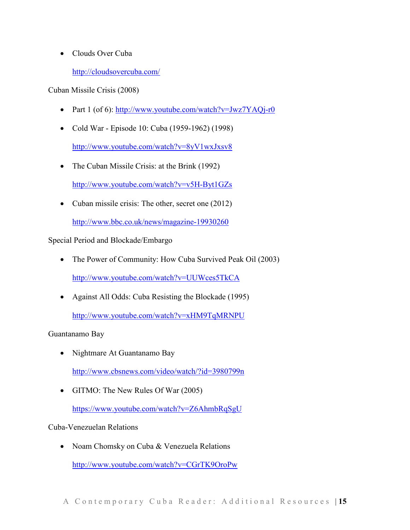• Clouds Over Cuba

### http://cloudsovercuba.com/

Cuban Missile Crisis (2008)

- Part 1 (of 6): http://www.youtube.com/watch?v=Jwz7YAQj-r0
- Cold War Episode 10: Cuba (1959-1962) (1998)

http://www.youtube.com/watch?v=8yV1wxJxsv8

- The Cuban Missile Crisis: at the Brink (1992) http://www.youtube.com/watch?v=v5H-Byt1GZs
- Cuban missile crisis: The other, secret one (2012)

http://www.bbc.co.uk/news/magazine-19930260

Special Period and Blockade/Embargo

• The Power of Community: How Cuba Survived Peak Oil (2003)

http://www.youtube.com/watch?v=UUWces5TkCA

• Against All Odds: Cuba Resisting the Blockade (1995)

http://www.youtube.com/watch?v=xHM9TqMRNPU

Guantanamo Bay

• Nightmare At Guantanamo Bay

http://www.cbsnews.com/video/watch/?id=3980799n

• GITMO: The New Rules Of War (2005)

https://www.youtube.com/watch?v=Z6AhmbRqSgU

### Cuba-Venezuelan Relations

• Noam Chomsky on Cuba & Venezuela Relations

http://www.youtube.com/watch?v=CGrTK9OroPw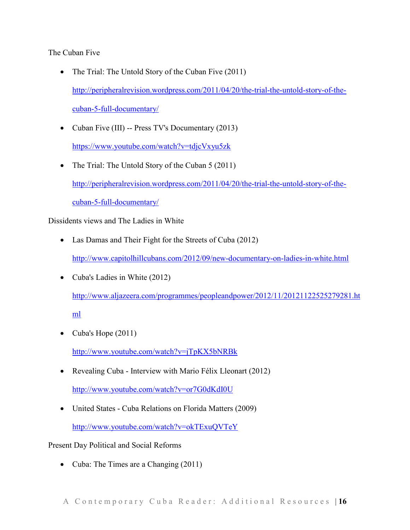The Cuban Five

- The Trial: The Untold Story of the Cuban Five (2011) http://peripheralrevision.wordpress.com/2011/04/20/the-trial-the-untold-story-of-thecuban-5-full-documentary/
- Cuban Five (III) -- Press TV's Documentary (2013) https://www.youtube.com/watch?v=tdjcVxyu5zk
- The Trial: The Untold Story of the Cuban 5 (2011) http://peripheralrevision.wordpress.com/2011/04/20/the-trial-the-untold-story-of-thecuban-5-full-documentary/

Dissidents views and The Ladies in White

- Las Damas and Their Fight for the Streets of Cuba (2012) http://www.capitolhillcubans.com/2012/09/new-documentary-on-ladies-in-white.html
- Cuba's Ladies in White (2012) http://www.aljazeera.com/programmes/peopleandpower/2012/11/20121122525279281.ht ml
- Cuba's Hope (2011)

http://www.youtube.com/watch?v=jTpKX5bNRBk

• Revealing Cuba - Interview with Mario Félix Lleonart (2012)

http://www.youtube.com/watch?v=or7G0dKdI0U

• United States - Cuba Relations on Florida Matters (2009) http://www.youtube.com/watch?v=okTExuQVTeY

Present Day Political and Social Reforms

• Cuba: The Times are a Changing (2011)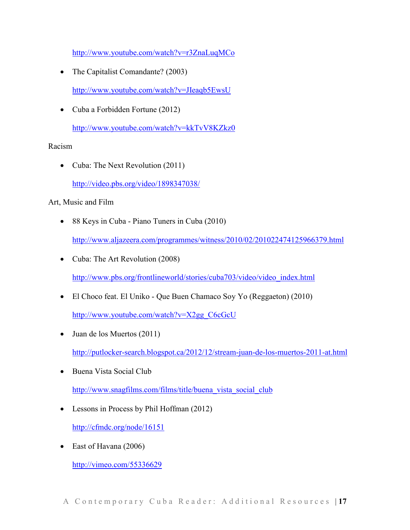http://www.youtube.com/watch?v=r3ZnaLuqMCo

• The Capitalist Comandante? (2003)

http://www.youtube.com/watch?v=JIeaqb5EwsU

• Cuba a Forbidden Fortune (2012)

http://www.youtube.com/watch?v=kkTvV8KZkz0

### Racism

• Cuba: The Next Revolution (2011) http://video.pbs.org/video/1898347038/

### Art, Music and Film

- 88 Keys in Cuba Piano Tuners in Cuba (2010) http://www.aljazeera.com/programmes/witness/2010/02/201022474125966379.html
- Cuba: The Art Revolution (2008)

http://www.pbs.org/frontlineworld/stories/cuba703/video/video\_index.html

• El Choco feat. El Uniko - Que Buen Chamaco Soy Yo (Reggaeton) (2010)

http://www.youtube.com/watch?v=X2gg\_C6cGcU

• Juan de los Muertos (2011)

http://putlocker-search.blogspot.ca/2012/12/stream-juan-de-los-muertos-2011-at.html

• Buena Vista Social Club

http://www.snagfilms.com/films/title/buena\_vista\_social\_club

• Lessons in Process by Phil Hoffman (2012)

http://cfmdc.org/node/16151

• East of Havana (2006)

http://vimeo.com/55336629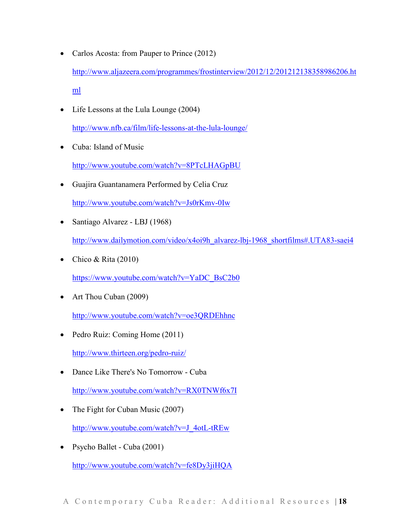- Carlos Acosta: from Pauper to Prince (2012) http://www.aljazeera.com/programmes/frostinterview/2012/12/201212138358986206.ht ml
- Life Lessons at the Lula Lounge (2004) http://www.nfb.ca/film/life-lessons-at-the-lula-lounge/
- Cuba: Island of Music

http://www.youtube.com/watch?v=8PTcLHAGpBU

- Guajira Guantanamera Performed by Celia Cruz http://www.youtube.com/watch?v=Js0rKmv-0Iw
- Santiago Alvarez LBJ (1968)

http://www.dailymotion.com/video/x4oi9h\_alvarez-lbj-1968\_shortfilms#.UTA83-saei4

• Chico & Rita  $(2010)$ 

https://www.youtube.com/watch?v=YaDC\_BsC2b0

• Art Thou Cuban (2009)

http://www.youtube.com/watch?v=oe3QRDEhhnc

- Pedro Ruiz: Coming Home (2011) http://www.thirteen.org/pedro-ruiz/
- Dance Like There's No Tomorrow Cuba

http://www.youtube.com/watch?v=RX0TNWf6x7I

- The Fight for Cuban Music (2007) http://www.youtube.com/watch?v=J\_4otL-tREw
- Psycho Ballet Cuba (2001)

http://www.youtube.com/watch?v=fe8Dy3jiHQA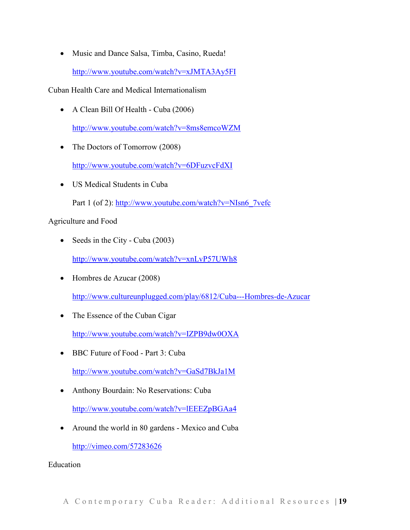• Music and Dance Salsa, Timba, Casino, Rueda! http://www.youtube.com/watch?v=xJMTA3Ay5FI

Cuban Health Care and Medical Internationalism

• A Clean Bill Of Health - Cuba (2006)

http://www.youtube.com/watch?v=8ms8emcoWZM

• The Doctors of Tomorrow (2008)

http://www.youtube.com/watch?v=6DFuzvcFdXI

• US Medical Students in Cuba Part 1 (of 2): http://www.youtube.com/watch?v=NIsn6\_7vefc

Agriculture and Food

• Seeds in the City - Cuba (2003)

http://www.youtube.com/watch?v=xnLvP57UWh8

- Hombres de Azucar (2008) http://www.cultureunplugged.com/play/6812/Cuba---Hombres-de-Azucar
- The Essence of the Cuban Cigar

http://www.youtube.com/watch?v=IZPB9dw0OXA

• BBC Future of Food - Part 3: Cuba

http://www.youtube.com/watch?v=GaSd7BkJa1M

• Anthony Bourdain: No Reservations: Cuba

http://www.youtube.com/watch?v=lEEEZpBGAa4

• Around the world in 80 gardens - Mexico and Cuba

http://vimeo.com/57283626

Education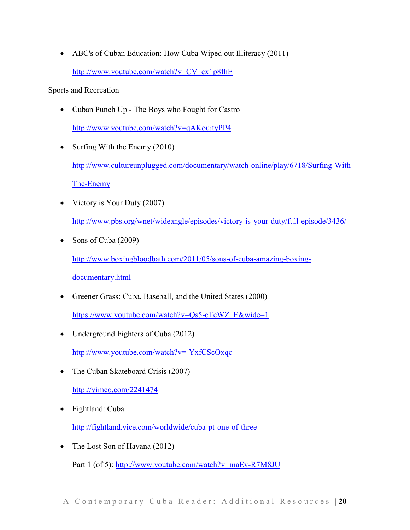• ABC's of Cuban Education: How Cuba Wiped out Illiteracy (2011) http://www.youtube.com/watch?v=CV\_cx1p8fhE

Sports and Recreation

- Cuban Punch Up The Boys who Fought for Castro http://www.youtube.com/watch?v=qAKoujtyPP4
- Surfing With the Enemy (2010)

http://www.cultureunplugged.com/documentary/watch-online/play/6718/Surfing-With-The-Enemy

- Victory is Your Duty (2007) http://www.pbs.org/wnet/wideangle/episodes/victory-is-your-duty/full-episode/3436/
- Sons of Cuba (2009)

http://www.boxingbloodbath.com/2011/05/sons-of-cuba-amazing-boxing-

documentary.html

• Greener Grass: Cuba, Baseball, and the United States (2000)

https://www.youtube.com/watch?v=Qs5-cTcWZ\_E&wide=1

- Underground Fighters of Cuba (2012) http://www.youtube.com/watch?v=-YxfCScOxqc
- The Cuban Skateboard Crisis (2007)

http://vimeo.com/2241474

• Fightland: Cuba

http://fightland.vice.com/worldwide/cuba-pt-one-of-three

• The Lost Son of Havana (2012)

Part 1 (of 5): http://www.youtube.com/watch?v=maEv-R7M8JU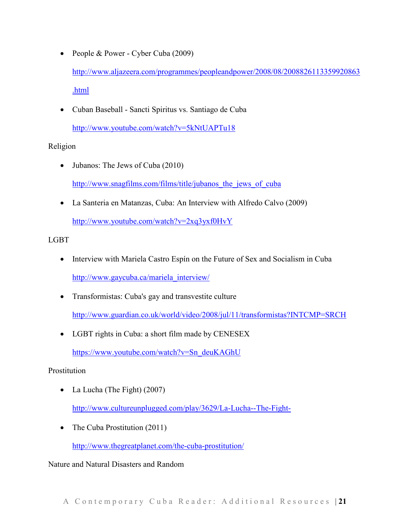- People & Power Cyber Cuba (2009) http://www.aljazeera.com/programmes/peopleandpower/2008/08/2008826113359920863 .html
- Cuban Baseball Sancti Spiritus vs. Santiago de Cuba http://www.youtube.com/watch?v=5kNtUAPTu18

### Religion

- Jubanos: The Jews of Cuba (2010) http://www.snagfilms.com/films/title/jubanos the jews of cuba
- La Santeria en Matanzas, Cuba: An Interview with Alfredo Calvo (2009)

http://www.youtube.com/watch?v=2xq3yxf0HvY

## LGBT

- Interview with Mariela Castro Espín on the Future of Sex and Socialism in Cuba http://www.gaycuba.ca/mariela\_interview/
- Transformistas: Cuba's gay and transvestite culture http://www.guardian.co.uk/world/video/2008/jul/11/transformistas?INTCMP=SRCH
- LGBT rights in Cuba: a short film made by CENESEX

https://www.youtube.com/watch?v=Sn\_deuKAGhU

# Prostitution

- La Lucha (The Fight) (2007) http://www.cultureunplugged.com/play/3629/La-Lucha--The-Fight-
- The Cuba Prostitution (2011)

http://www.thegreatplanet.com/the-cuba-prostitution/

Nature and Natural Disasters and Random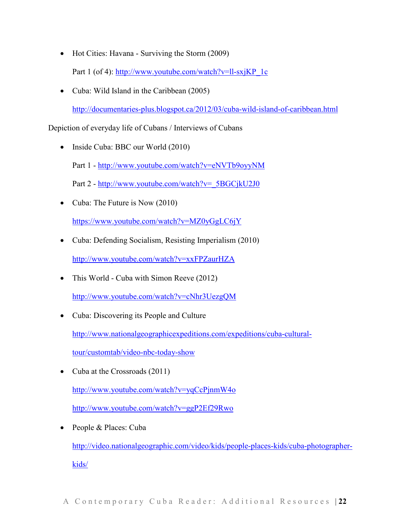- Hot Cities: Havana Surviving the Storm (2009) Part 1 (of 4): http://www.youtube.com/watch?v=ll-sxjKP\_1c
- Cuba: Wild Island in the Caribbean (2005)

http://documentaries-plus.blogspot.ca/2012/03/cuba-wild-island-of-caribbean.html

Depiction of everyday life of Cubans / Interviews of Cubans

• Inside Cuba: BBC our World (2010)

Part 1 - http://www.youtube.com/watch?v=eNVTb9oyyNM

Part 2 - http://www.youtube.com/watch?v= 5BGCjkU2J0

• Cuba: The Future is Now (2010)

https://www.youtube.com/watch?v=MZ0yGgLC6jY

- Cuba: Defending Socialism, Resisting Imperialism (2010) http://www.youtube.com/watch?v=xxFPZaurHZA
- This World Cuba with Simon Reeve (2012)

http://www.youtube.com/watch?v=cNhr3UezgQM

• Cuba: Discovering its People and Culture

http://www.nationalgeographicexpeditions.com/expeditions/cuba-cultural-

tour/customtab/video-nbc-today-show

• Cuba at the Crossroads (2011)

http://www.youtube.com/watch?v=yqCcPjnmW4o

http://www.youtube.com/watch?v=ggP2Ef29Rwo

• People & Places: Cuba

http://video.nationalgeographic.com/video/kids/people-places-kids/cuba-photographerkids/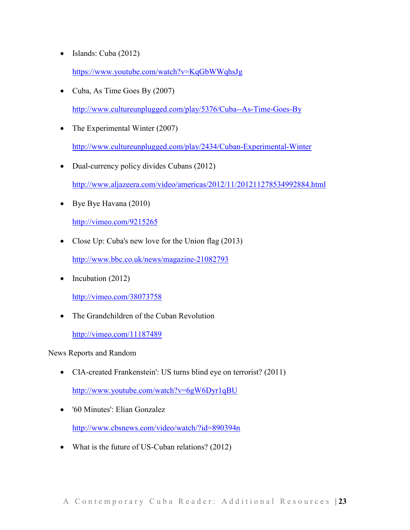• Islands: Cuba (2012)

https://www.youtube.com/watch?v=KqGbWWqhsJg

• Cuba, As Time Goes By (2007)

http://www.cultureunplugged.com/play/5376/Cuba--As-Time-Goes-By

- The Experimental Winter (2007) http://www.cultureunplugged.com/play/2434/Cuban-Experimental-Winter
- Dual-currency policy divides Cubans (2012) http://www.aljazeera.com/video/americas/2012/11/201211278534992884.html
- Bye Bye Havana (2010)

http://vimeo.com/9215265

• Close Up: Cuba's new love for the Union flag (2013)

http://www.bbc.co.uk/news/magazine-21082793

• Incubation (2012)

http://vimeo.com/38073758

• The Grandchildren of the Cuban Revolution

http://vimeo.com/11187489

News Reports and Random

• CIA-created Frankenstein': US turns blind eye on terrorist? (2011)

http://www.youtube.com/watch?v=6gW6Dyr1qBU

- '60 Minutes': Elian Gonzalez http://www.cbsnews.com/video/watch/?id=890394n
- What is the future of US-Cuban relations? (2012)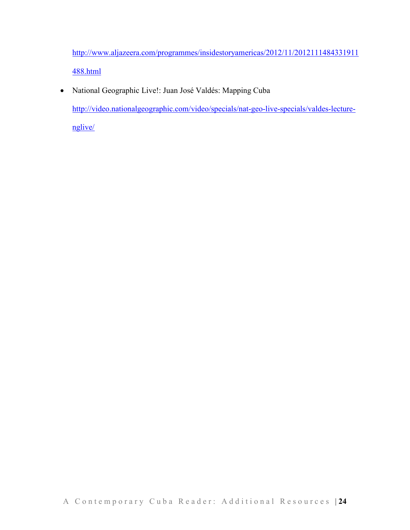http://www.aljazeera.com/programmes/insidestoryamericas/2012/11/2012111484331911 488.html

• National Geographic Live!: Juan José Valdés: Mapping Cuba http://video.nationalgeographic.com/video/specials/nat-geo-live-specials/valdes-lecturenglive/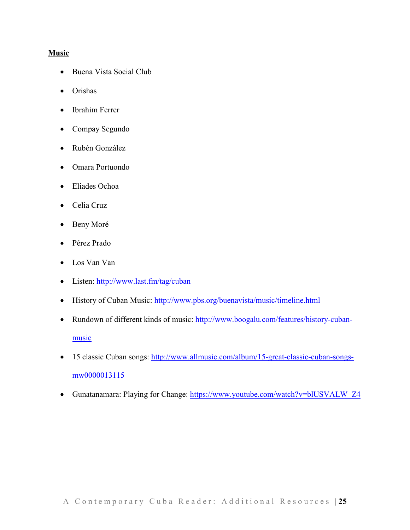#### **Music**

- Buena Vista Social Club
- Orishas
- Ibrahim Ferrer
- Compay Segundo
- Rubén González
- Omara Portuondo
- Eliades Ochoa
- Celia Cruz
- Beny Moré
- Pérez Prado
- Los Van Van
- Listen: http://www.last.fm/tag/cuban
- History of Cuban Music: http://www.pbs.org/buenavista/music/timeline.html
- Rundown of different kinds of music: http://www.boogalu.com/features/history-cubanmusic
- 15 classic Cuban songs: http://www.allmusic.com/album/15-great-classic-cuban-songsmw0000013115
- Gunatanamara: Playing for Change: https://www.youtube.com/watch?v=blUSVALW\_Z4